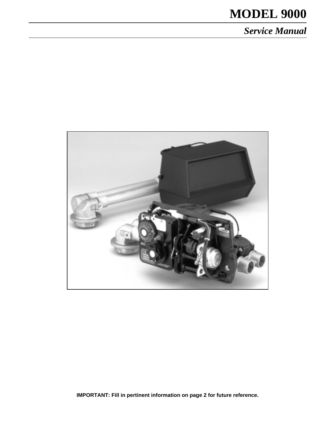## **MODEL 9000**

*Service Manual*

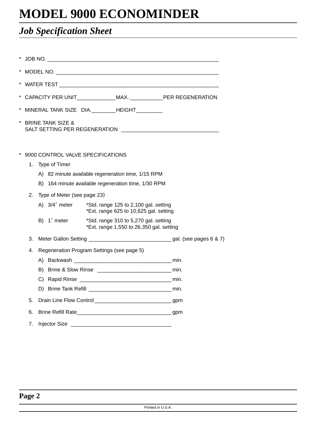## *Job Specification Sheet*

|          |    |     |                                            |  | MINERAL TANK SIZE DIA. ________HEIGHT____                                         |                                                                               |  |  |
|----------|----|-----|--------------------------------------------|--|-----------------------------------------------------------------------------------|-------------------------------------------------------------------------------|--|--|
| $^\star$ |    |     | <b>BRINE TANK SIZE &amp;</b>               |  |                                                                                   |                                                                               |  |  |
|          |    |     | 9000 CONTROL VALVE SPECIFICATIONS          |  |                                                                                   |                                                                               |  |  |
|          | 1. |     | Type of Timer                              |  |                                                                                   |                                                                               |  |  |
|          |    |     |                                            |  | A) 82 minute available regeneration time, 1/15 RPM                                |                                                                               |  |  |
|          |    | B). |                                            |  | 164 minute available regeneration time, 1/30 RPM                                  |                                                                               |  |  |
|          | 2. |     | Type of Meter (see page 23)                |  |                                                                                   |                                                                               |  |  |
|          |    |     | A) 3/4" meter                              |  | *Std. range 125 to 2,100 gal. setting<br>*Ext. range 625 to 10,625 gal. setting   |                                                                               |  |  |
|          |    |     | B) 1" meter                                |  | *Std. range 310 to 5,270 gal. setting<br>*Ext. range 1,550 to 26,350 gal. setting |                                                                               |  |  |
|          | 3. |     |                                            |  |                                                                                   | Meter Gallon Setting __________________________________gal. (see pages 6 & 7) |  |  |
|          | 4. |     | Regeneration Program Settings (see page 5) |  |                                                                                   |                                                                               |  |  |
|          |    |     |                                            |  |                                                                                   |                                                                               |  |  |
|          |    |     |                                            |  |                                                                                   |                                                                               |  |  |
|          |    |     |                                            |  |                                                                                   |                                                                               |  |  |
|          |    |     |                                            |  |                                                                                   |                                                                               |  |  |
|          | 5. |     |                                            |  | Drain Line Flow Control _________________________________gpm                      |                                                                               |  |  |
|          | 6. |     |                                            |  |                                                                                   |                                                                               |  |  |
|          | 7. |     | Injector Size                              |  |                                                                                   |                                                                               |  |  |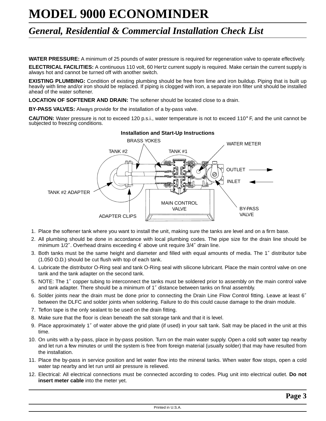## *General, Residential & Commercial Installation Check List*

**WATER PRESSURE:** A minimum of 25 pounds of water pressure is required for regeneration valve to operate effectively.

**ELECTRICAL FACILITIES:** A continuous 110 volt, 60 Hertz current supply is required. Make certain the current supply is always hot and cannot be turned off with another switch.

**EXISTING PLUMBING:** Condition of existing plumbing should be free from lime and iron buildup. Piping that is built up heavily with lime and/or iron should be replaced. If piping is clogged with iron, a separate iron filter unit should be installed ahead of the water softener.

**LOCATION OF SOFTENER AND DRAIN:** The softener should be located close to a drain.

**BY-PASS VALVES:** Always provide for the installation of a by-pass valve.

**CAUTION:** Water pressure is not to exceed 120 p.s.i., water temperature is not to exceed 110° F, and the unit cannot be subjected to freezing conditions.



#### **Installation and Start-Up Instructions**

- 1. Place the softener tank where you want to install the unit, making sure the tanks are level and on a firm base.
- 2. All plumbing should be done in accordance with local plumbing codes. The pipe size for the drain line should be minimum 1/2″. Overhead drains exceeding 4′ above unit require 3/4″ drain line.
- 3. Both tanks must be the same height and diameter and filled with equal amounts of media. The 1″ distributor tube (1.050 O.D.) should be cut flush with top of each tank.
- 4. Lubricate the distributor O-Ring seal and tank O-Ring seal with silicone lubricant. Place the main control valve on one tank and the tank adapter on the second tank.
- 5. NOTE: The 1″ copper tubing to interconnect the tanks must be soldered prior to assembly on the main control valve and tank adapter. There should be a minimum of 1″ distance between tanks on final assembly.
- 6. Solder joints near the drain must be done prior to connecting the Drain Line Flow Control fitting. Leave at least 6″ between the DLFC and solder joints when soldering. Failure to do this could cause damage to the drain module.
- 7. Teflon tape is the only sealant to be used on the drain fitting.
- 8. Make sure that the floor is clean beneath the salt storage tank and that it is level.
- 9. Place approximately 1″ of water above the grid plate (if used) in your salt tank. Salt may be placed in the unit at this time.
- 10. On units with a by-pass, place in by-pass position. Turn on the main water supply. Open a cold soft water tap nearby and let run a few minutes or until the system is free from foreign material (usually solder) that may have resulted from the installation.
- 11. Place the by-pass in service position and let water flow into the mineral tanks. When water flow stops, open a cold water tap nearby and let run until air pressure is relieved.
- 12. Electrical: All electrical connections must be connected according to codes. Plug unit into electrical outlet. **Do not insert meter cable** into the meter yet.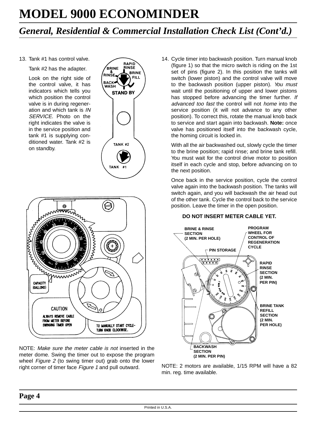## *General, Residential & Commercial Installation Check List (Cont'd.)*

13. Tank #1 has control valve.

Tank #2 has the adapter.

Look on the right side of the control valve, it has indicators which tells you which position the control valve is in during regeneration and which tank is IN SERVICE. Photo on the right indicates the valve is in the service position and tank #1 is supplying conditioned water. Tank #2 is on standby.





NOTE: Make sure the meter cable is not inserted in the meter dome. Swing the timer out to expose the program wheel Figure 2 (to swing timer out) grab onto the lower right corner of timer face Figure 1 and pull outward.

14. Cycle timer into backwash position. Turn manual knob (figure 1) so that the micro switch is riding on the 1st set of pins (figure 2). In this position the tanks will switch (lower piston) and the control valve will move to the backwash position (upper piston). You must wait until the positioning of upper and lower pistons has stopped before advancing the timer further. If advanced too fast the control will not home into the service position (it will not advance to any other position). To correct this, rotate the manual knob back to service and start again into backwash. **Note:** once valve has positioned itself into the backwash cycle, the homing circuit is locked in.

With all the air backwashed out, slowly cycle the timer to the brine position; rapid rinse; and brine tank refill. You must wait for the control drive motor to position itself in each cycle and stop, before advancing on to the next position.

Once back in the service position, cycle the control valve again into the backwash position. The tanks will switch again, and you will backwash the air head out of the other tank. Cycle the control back to the service position. Leave the timer in the open position.



#### **DO NOT INSERT METER CABLE YET.**

NOTE: 2 motors are available, 1/15 RPM will have a 82 min. reg. time available.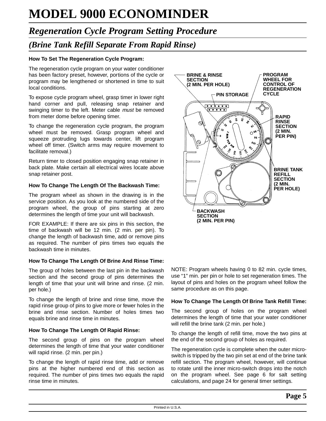## *Regeneration Cycle Program Setting Procedure*

## *(Brine Tank Refill Separate From Rapid Rinse)*

#### **How To Set The Regeneration Cycle Program:**

The regeneration cycle program on your water conditioner has been factory preset, however, portions of the cycle or program may be lengthened or shortened in time to suit local conditions.

To expose cycle program wheel, grasp timer in lower right hand corner and pull, releasing snap retainer and swinging timer to the left. Meter cable *must* be removed from meter dome before opening timer.

To change the regeneration cycle program, the program wheel must be removed. Grasp program wheel and squeeze protruding lugs towards center, lift program wheel off timer. (Switch arms may require movement to facilitate removal.)

Return timer to closed position engaging snap retainer in back plate. Make certain all electrical wires locate above snap retainer post.

#### **How To Change The Length Of The Backwash Time:**

The program wheel as shown in the drawing is in the service position. As you look at the numbered side of the program wheel, the group of pins starting at zero determines the length of time your unit will backwash.

FOR EXAMPLE: If there are six pins in this section, the time of backwash will be 12 min. (2 min. per pin). To change the length of backwash time, add or remove pins as required. The number of pins times two equals the backwash time in minutes.

#### **How To Change The Length Of Brine And Rinse Time:**

The group of holes between the last pin in the backwash section and the second group of pins determines the length of time that your unit will brine and rinse. (2 min. per hole.)

To change the length of brine and rinse time, move the rapid rinse group of pins to give more or fewer holes in the brine and rinse section. Number of holes times two equals brine and rinse time in minutes.

#### **How To Change The Length Of Rapid Rinse:**

The second group of pins on the program wheel determines the length of time that your water conditioner will rapid rinse. (2 min. per pin.)

To change the length of rapid rinse time, add or remove pins at the higher numbered end of this section as required. The number of pins times two equals the rapid rinse time in minutes.



NOTE: Program wheels having 0 to 82 min. cycle times, use "1" min. per pin or hole to set regeneration times. The layout of pins and holes on the program wheel follow the same procedure as on this page.

#### **How To Change The Length Of Brine Tank Refill Time:**

The second group of holes on the program wheel determines the length of time that your water conditioner will refill the brine tank (2 min. per hole.)

To change the length of refill time, move the two pins at the end of the second group of holes as required.

The regeneration cycle is complete when the outer microswitch is tripped by the two pin set at end of the brine tank refill section. The program wheel, however, will continue to rotate until the inner micro-switch drops into the notch on the program wheel. See page 6 for salt setting calculations, and page 24 for general timer settings.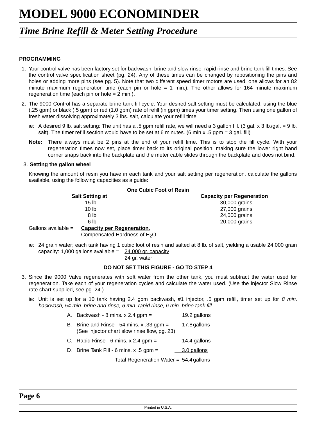### *Time Brine Refill & Meter Setting Procedure*

#### **PROGRAMMING**

- 1. Your control valve has been factory set for backwash; brine and slow rinse; rapid rinse and brine tank fill times. See the control valve specification sheet (pg. 24). Any of these times can be changed by repositioning the pins and holes or adding more pins (see pg. 5). Note that two different speed timer motors are used, one allows for an 82 minute maximum regeneration time (each pin or hole = 1 min.). The other allows for 164 minute maximum regeneration time (each pin or hole  $= 2$  min.).
- 2. The 9000 Control has a separate brine tank fill cycle. Your desired salt setting must be calculated, using the blue (.25 gpm) or black (.5 gpm) or red (1.0 gpm) rate of refill (in gpm) times your timer setting. Then using one gallon of fresh water dissolving approximately 3 lbs. salt, calculate your refill time.
	- ie: A desired 9 lb. salt setting: The unit has a .5 gpm refill rate, we will need a 3 gallon fill. (3 gal. x 3 lb./gal. = 9 lb. salt). The timer refill section would have to be set at 6 minutes. (6 min x  $.5$  gpm = 3 gal. fill)
	- **Note:** There always must be 2 pins at the end of your refill time. This is to stop the fill cycle. With your regeneration times now set, place timer back to its original position, making sure the lower right hand corner snaps back into the backplate and the meter cable slides through the backplate and does not bind.

#### 3. **Setting the gallon wheel**

Knowing the amount of resin you have in each tank and your salt setting per regeneration, calculate the gallons available, using the following capacities as a guide:

|                     | <b>One Cubic Foot of Resin</b>    |                                  |
|---------------------|-----------------------------------|----------------------------------|
|                     | <b>Salt Setting at</b>            | <b>Capacity per Regeneration</b> |
|                     | 15 lb                             | 30,000 grains                    |
|                     | 10 lb                             | 27,000 grains                    |
|                     | 8 <sub>lb</sub>                   | 24,000 grains                    |
|                     | 6 lb                              | $20,000$ grains                  |
| Gallons available = | <b>Capacity per Regeneration.</b> |                                  |
|                     | Compensated Hardness of $H_2O$    |                                  |

ie: 24 grain water; each tank having 1 cubic foot of resin and salted at 8 lb. of salt, yielding a usable 24,000 grain capacity: 1,000 gallons available =  $24,000$  gr. capacity

24 gr. water

#### **DO NOT SET THIS FIGURE - GO TO STEP 4**

- 3. Since the 9000 Valve regenerates with soft water from the other tank, you must subtract the water used for regeneration. Take each of your regeneration cycles and calculate the water used. (Use the injector Slow Rinse rate chart supplied, see pg. 24.)
	- ie: Unit is set up for a 10 tank having 2.4 gpm backwash, #1 injector, .5 gpm refill, timer set up for 8 min. backwash, 54 min. brine and rinse, 6 min. rapid rinse, 6 min. brine tank fill.

| A. Backwash - 8 mins. x 2.4 gpm = | 19.2 gallons |
|-----------------------------------|--------------|
|                                   |              |

- B. Brine and Rinse 54 mins.  $x$  .33 gpm = 17.8 gallons (See injector chart slow rinse flow, pg. 23)
- C. Rapid Rinse 6 mins. x 2.4 gpm =  $14.4$  gallons
- D. Brine Tank Fill 6 mins.  $x .5$  gpm =  $3.0$  gallons

Total Regeneration Water = 54.4 gallons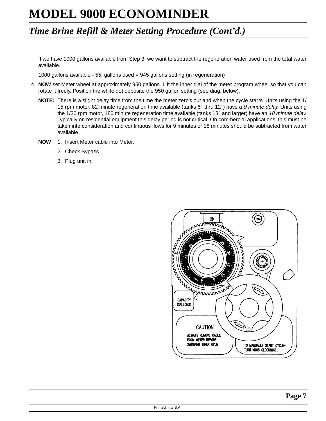### *Time Brine Refill & Meter Setting Procedure (Cont'd.)*

If we have 1000 gallons available from Step 3, we want to subtract the regeneration water used from the total water available.

1000 gallons available - 55. gallons used = 945 gallons setting (in regeneration)

- 4. **NOW** set Meter wheel at approximately 950 gallons. Lift the inner dial of the meter program wheel so that you can rotate it freely. Position the white dot opposite the 950 gallon setting (see diag. below).
	- **NOTE:** There is a slight delay time from the time the meter zero's out and when the cycle starts. Units using the 1/ 15 rpm motor, 82 minute regeneration time available (tanks 6" thru 12") have a 9 minute delay. Units using the 1/30 rpm motor, 180 minute regeneration time available (tanks 13" and larger) have an 18 minute delay. Typically on residential equipment this delay period is not critical. On commercial applications, this must be taken into consideration and continuous flows for 9 minutes or 18 minutes should be subtracted from water available.
	- **NOW** 1. Insert Meter cable into Meter.
		- 2. Check Bypass.
		- 3. Plug unit in.

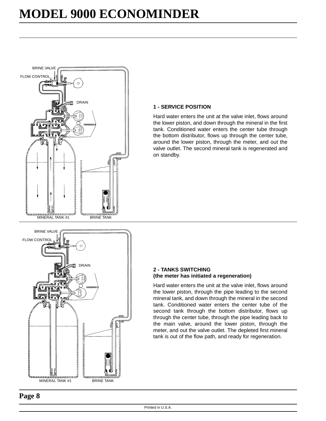

#### **1 - SERVICE POSITION**

Hard water enters the unit at the valve inlet, flows around the lower piston, and down through the mineral in the first tank. Conditioned water enters the center tube through the bottom distributor, flows up through the center tube, around the lower piston, through the meter, and out the valve outlet. The second mineral tank is regenerated and on standby.



#### **2 - TANKS SWITCHING (the meter has initiated a regeneration)**

Hard water enters the unit at the valve inlet, flows around the lower piston, through the pipe leading to the second mineral tank, and down through the mineral in the second tank. Conditioned water enters the center tube of the second tank through the bottom distributor, flows up through the center tube, through the pipe leading back to the main valve, around the lower piston, through the meter, and out the valve outlet. The depleted first mineral tank is out of the flow path, and ready for regeneration.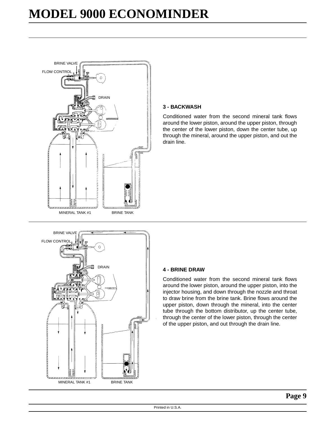

#### **3 - BACKWASH**

Conditioned water from the second mineral tank flows around the lower piston, around the upper piston, through the center of the lower piston, down the center tube, up through the mineral, around the upper piston, and out the drain line.



#### **4 - BRINE DRAW**

Conditioned water from the second mineral tank flows around the lower piston, around the upper piston, into the injector housing, and down through the nozzle and throat to draw brine from the brine tank. Brine flows around the upper piston, down through the mineral, into the center tube through the bottom distributor, up the center tube, through the center of the lower piston, through the center of the upper piston, and out through the drain line.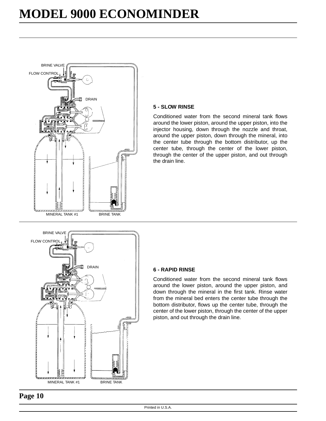

#### **5 - SLOW RINSE**

Conditioned water from the second mineral tank flows around the lower piston, around the upper piston, into the injector housing, down through the nozzle and throat, around the upper piston, down through the mineral, into the center tube through the bottom distributor, up the center tube, through the center of the lower piston, through the center of the upper piston, and out through the drain line.



#### **6 - RAPID RINSE**

Conditioned water from the second mineral tank flows around the lower piston, around the upper piston, and down through the mineral in the first tank. Rinse water from the mineral bed enters the center tube through the bottom distributor, flows up the center tube, through the center of the lower piston, through the center of the upper piston, and out through the drain line.

#### **Page 10**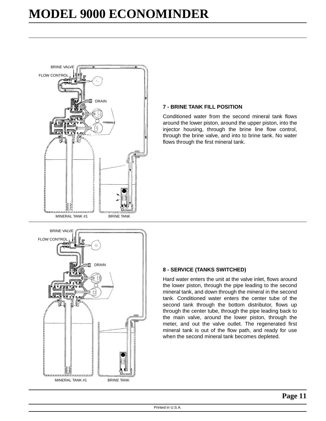

#### **7 - BRINE TANK FILL POSITION**

Conditioned water from the second mineral tank flows around the lower piston, around the upper piston, into the injector housing, through the brine line flow control, through the brine valve, and into to brine tank. No water flows through the first mineral tank.



#### **8 - SERVICE (TANKS SWITCHED)**

Hard water enters the unit at the valve inlet, flows around the lower piston, through the pipe leading to the second mineral tank, and down through the mineral in the second tank. Conditioned water enters the center tube of the second tank through the bottom distributor, flows up through the center tube, through the pipe leading back to the main valve, around the lower piston, through the meter, and out the valve outlet. The regenerated first mineral tank is out of the flow path, and ready for use when the second mineral tank becomes depleted.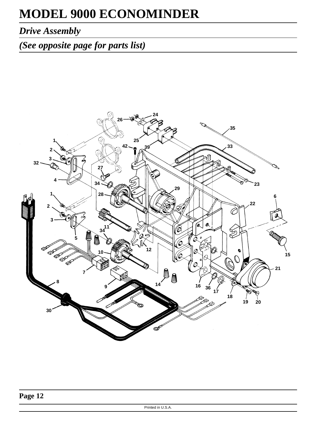## *Drive Assembly*

## *(See opposite page for parts list)*

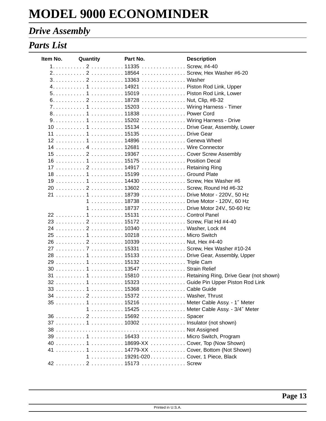## *Drive Assembly*

## *Parts List*

| 10  1  15134  Drive Gear, Assembly, Lower<br>12  1  14896  Geneva Wheel<br>14  4  12681  Wire Connector<br>15  2  19367  Cover Screw Assembly<br>17  2  14917  Retaining Ring<br>19  1  14430  Screw, Hex Washer #6<br>20  2  13602  Screw, Round Hd #6-32<br>21  1  18739  Drive Motor - 220V., 50 Hz<br>1  18738  Drive Motor - 120V., 60 Hz<br>1  18737  Drive Motor 24V., 50-60 Hz<br>23  2  15172  Screw, Flat Hd #4-40<br>24  2  10340  Washer, Lock #4<br>25  1  10218  Micro Switch<br>26  2  10339  Nut, Hex #4-40<br>27 7  15331  Screw, Hex Washer #10-24<br>29  1  15132  Triple Cam<br>30  1  13547  Strain Relief<br>31  1  15810  Retaining Ring, Drive Gear (not shown)<br>32  1  15323  Guide Pin Upper Piston Rod Link<br>33  1  15368  Cable Guide<br>34  2  15372  Washer, Thrust<br>35  1  15216  Meter Cable Assy. - 1" Meter<br>1  15425  Meter Cable Assy. - 3/4" Meter<br>36 2  15692  Spacer<br>37  1  10302  Insulator (not shown)<br>39  1  16433  Micro Switch, Program<br>40  1  18699-XX  Cover, Top (Now Shown)<br>41  1  14779-XX  Cover, Bottom (Not Shown)<br>1  19291-020 Cover, 1 Piece, Black<br>42  2  15173  Screw | Item No. | Quantity | Part No. | <b>Description</b> |
|------------------------------------------------------------------------------------------------------------------------------------------------------------------------------------------------------------------------------------------------------------------------------------------------------------------------------------------------------------------------------------------------------------------------------------------------------------------------------------------------------------------------------------------------------------------------------------------------------------------------------------------------------------------------------------------------------------------------------------------------------------------------------------------------------------------------------------------------------------------------------------------------------------------------------------------------------------------------------------------------------------------------------------------------------------------------------------------------------------------------------------------------------------|----------|----------|----------|--------------------|
|                                                                                                                                                                                                                                                                                                                                                                                                                                                                                                                                                                                                                                                                                                                                                                                                                                                                                                                                                                                                                                                                                                                                                            |          |          |          |                    |
|                                                                                                                                                                                                                                                                                                                                                                                                                                                                                                                                                                                                                                                                                                                                                                                                                                                                                                                                                                                                                                                                                                                                                            |          |          |          |                    |
|                                                                                                                                                                                                                                                                                                                                                                                                                                                                                                                                                                                                                                                                                                                                                                                                                                                                                                                                                                                                                                                                                                                                                            |          |          |          |                    |
|                                                                                                                                                                                                                                                                                                                                                                                                                                                                                                                                                                                                                                                                                                                                                                                                                                                                                                                                                                                                                                                                                                                                                            |          |          |          |                    |
|                                                                                                                                                                                                                                                                                                                                                                                                                                                                                                                                                                                                                                                                                                                                                                                                                                                                                                                                                                                                                                                                                                                                                            |          |          |          |                    |
|                                                                                                                                                                                                                                                                                                                                                                                                                                                                                                                                                                                                                                                                                                                                                                                                                                                                                                                                                                                                                                                                                                                                                            |          |          |          |                    |
|                                                                                                                                                                                                                                                                                                                                                                                                                                                                                                                                                                                                                                                                                                                                                                                                                                                                                                                                                                                                                                                                                                                                                            |          |          |          |                    |
|                                                                                                                                                                                                                                                                                                                                                                                                                                                                                                                                                                                                                                                                                                                                                                                                                                                                                                                                                                                                                                                                                                                                                            |          |          |          |                    |
|                                                                                                                                                                                                                                                                                                                                                                                                                                                                                                                                                                                                                                                                                                                                                                                                                                                                                                                                                                                                                                                                                                                                                            |          |          |          |                    |
|                                                                                                                                                                                                                                                                                                                                                                                                                                                                                                                                                                                                                                                                                                                                                                                                                                                                                                                                                                                                                                                                                                                                                            |          |          |          |                    |
|                                                                                                                                                                                                                                                                                                                                                                                                                                                                                                                                                                                                                                                                                                                                                                                                                                                                                                                                                                                                                                                                                                                                                            |          |          |          |                    |
|                                                                                                                                                                                                                                                                                                                                                                                                                                                                                                                                                                                                                                                                                                                                                                                                                                                                                                                                                                                                                                                                                                                                                            |          |          |          |                    |
|                                                                                                                                                                                                                                                                                                                                                                                                                                                                                                                                                                                                                                                                                                                                                                                                                                                                                                                                                                                                                                                                                                                                                            |          |          |          |                    |
|                                                                                                                                                                                                                                                                                                                                                                                                                                                                                                                                                                                                                                                                                                                                                                                                                                                                                                                                                                                                                                                                                                                                                            |          |          |          |                    |
|                                                                                                                                                                                                                                                                                                                                                                                                                                                                                                                                                                                                                                                                                                                                                                                                                                                                                                                                                                                                                                                                                                                                                            |          |          |          |                    |
|                                                                                                                                                                                                                                                                                                                                                                                                                                                                                                                                                                                                                                                                                                                                                                                                                                                                                                                                                                                                                                                                                                                                                            |          |          |          |                    |
|                                                                                                                                                                                                                                                                                                                                                                                                                                                                                                                                                                                                                                                                                                                                                                                                                                                                                                                                                                                                                                                                                                                                                            |          |          |          |                    |
|                                                                                                                                                                                                                                                                                                                                                                                                                                                                                                                                                                                                                                                                                                                                                                                                                                                                                                                                                                                                                                                                                                                                                            |          |          |          |                    |
|                                                                                                                                                                                                                                                                                                                                                                                                                                                                                                                                                                                                                                                                                                                                                                                                                                                                                                                                                                                                                                                                                                                                                            |          |          |          |                    |
|                                                                                                                                                                                                                                                                                                                                                                                                                                                                                                                                                                                                                                                                                                                                                                                                                                                                                                                                                                                                                                                                                                                                                            |          |          |          |                    |
|                                                                                                                                                                                                                                                                                                                                                                                                                                                                                                                                                                                                                                                                                                                                                                                                                                                                                                                                                                                                                                                                                                                                                            |          |          |          |                    |
|                                                                                                                                                                                                                                                                                                                                                                                                                                                                                                                                                                                                                                                                                                                                                                                                                                                                                                                                                                                                                                                                                                                                                            |          |          |          |                    |
|                                                                                                                                                                                                                                                                                                                                                                                                                                                                                                                                                                                                                                                                                                                                                                                                                                                                                                                                                                                                                                                                                                                                                            |          |          |          |                    |
|                                                                                                                                                                                                                                                                                                                                                                                                                                                                                                                                                                                                                                                                                                                                                                                                                                                                                                                                                                                                                                                                                                                                                            |          |          |          |                    |
|                                                                                                                                                                                                                                                                                                                                                                                                                                                                                                                                                                                                                                                                                                                                                                                                                                                                                                                                                                                                                                                                                                                                                            |          |          |          |                    |
|                                                                                                                                                                                                                                                                                                                                                                                                                                                                                                                                                                                                                                                                                                                                                                                                                                                                                                                                                                                                                                                                                                                                                            |          |          |          |                    |
|                                                                                                                                                                                                                                                                                                                                                                                                                                                                                                                                                                                                                                                                                                                                                                                                                                                                                                                                                                                                                                                                                                                                                            |          |          |          |                    |
|                                                                                                                                                                                                                                                                                                                                                                                                                                                                                                                                                                                                                                                                                                                                                                                                                                                                                                                                                                                                                                                                                                                                                            |          |          |          |                    |
|                                                                                                                                                                                                                                                                                                                                                                                                                                                                                                                                                                                                                                                                                                                                                                                                                                                                                                                                                                                                                                                                                                                                                            |          |          |          |                    |
|                                                                                                                                                                                                                                                                                                                                                                                                                                                                                                                                                                                                                                                                                                                                                                                                                                                                                                                                                                                                                                                                                                                                                            |          |          |          |                    |
|                                                                                                                                                                                                                                                                                                                                                                                                                                                                                                                                                                                                                                                                                                                                                                                                                                                                                                                                                                                                                                                                                                                                                            |          |          |          |                    |
|                                                                                                                                                                                                                                                                                                                                                                                                                                                                                                                                                                                                                                                                                                                                                                                                                                                                                                                                                                                                                                                                                                                                                            |          |          |          |                    |
|                                                                                                                                                                                                                                                                                                                                                                                                                                                                                                                                                                                                                                                                                                                                                                                                                                                                                                                                                                                                                                                                                                                                                            |          |          |          |                    |
|                                                                                                                                                                                                                                                                                                                                                                                                                                                                                                                                                                                                                                                                                                                                                                                                                                                                                                                                                                                                                                                                                                                                                            |          |          |          |                    |
|                                                                                                                                                                                                                                                                                                                                                                                                                                                                                                                                                                                                                                                                                                                                                                                                                                                                                                                                                                                                                                                                                                                                                            |          |          |          |                    |
|                                                                                                                                                                                                                                                                                                                                                                                                                                                                                                                                                                                                                                                                                                                                                                                                                                                                                                                                                                                                                                                                                                                                                            |          |          |          |                    |
|                                                                                                                                                                                                                                                                                                                                                                                                                                                                                                                                                                                                                                                                                                                                                                                                                                                                                                                                                                                                                                                                                                                                                            |          |          |          |                    |
|                                                                                                                                                                                                                                                                                                                                                                                                                                                                                                                                                                                                                                                                                                                                                                                                                                                                                                                                                                                                                                                                                                                                                            |          |          |          |                    |
|                                                                                                                                                                                                                                                                                                                                                                                                                                                                                                                                                                                                                                                                                                                                                                                                                                                                                                                                                                                                                                                                                                                                                            |          |          |          |                    |
|                                                                                                                                                                                                                                                                                                                                                                                                                                                                                                                                                                                                                                                                                                                                                                                                                                                                                                                                                                                                                                                                                                                                                            |          |          |          |                    |
|                                                                                                                                                                                                                                                                                                                                                                                                                                                                                                                                                                                                                                                                                                                                                                                                                                                                                                                                                                                                                                                                                                                                                            |          |          |          |                    |
|                                                                                                                                                                                                                                                                                                                                                                                                                                                                                                                                                                                                                                                                                                                                                                                                                                                                                                                                                                                                                                                                                                                                                            |          |          |          |                    |
|                                                                                                                                                                                                                                                                                                                                                                                                                                                                                                                                                                                                                                                                                                                                                                                                                                                                                                                                                                                                                                                                                                                                                            |          |          |          |                    |
|                                                                                                                                                                                                                                                                                                                                                                                                                                                                                                                                                                                                                                                                                                                                                                                                                                                                                                                                                                                                                                                                                                                                                            |          |          |          |                    |
|                                                                                                                                                                                                                                                                                                                                                                                                                                                                                                                                                                                                                                                                                                                                                                                                                                                                                                                                                                                                                                                                                                                                                            |          |          |          |                    |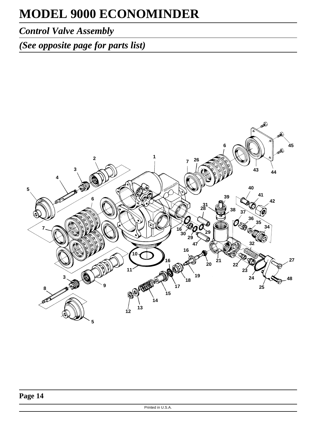## *Control Valve Assembly*

*(See opposite page for parts list)*

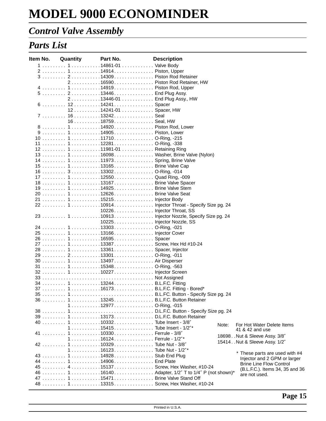## *Control Valve Assembly*

## *Parts List*

| ltem No. | Quantity | Part No.                                                                 | <b>Description</b>                                           |       |                                                                |
|----------|----------|--------------------------------------------------------------------------|--------------------------------------------------------------|-------|----------------------------------------------------------------|
|          |          | 1  1 14861-01  Valve Body                                                |                                                              |       |                                                                |
|          |          |                                                                          |                                                              |       |                                                                |
|          |          | 3  2 14309 Piston Rod Retainer                                           |                                                              |       |                                                                |
|          |          |                                                                          | 216590 Piston Rod Retainer, HW                               |       |                                                                |
|          |          |                                                                          |                                                              |       |                                                                |
|          |          | 5  2 13446 End Plug Assy.                                                |                                                              |       |                                                                |
|          |          | 213446-01 End Plug Assy., HW                                             |                                                              |       |                                                                |
|          |          |                                                                          |                                                              |       |                                                                |
|          |          | 12 14241-01 Spacer, HW                                                   |                                                              |       |                                                                |
|          |          | 7  16  13242 Seal                                                        |                                                              |       |                                                                |
|          |          | 16 18759 Seal, HW                                                        |                                                              |       |                                                                |
|          |          | 8  1 14920 Piston Rod, Lower                                             |                                                              |       |                                                                |
|          |          | 9  1 14905 Piston, Lower                                                 |                                                              |       |                                                                |
|          |          |                                                                          |                                                              |       |                                                                |
|          |          |                                                                          |                                                              |       |                                                                |
|          |          | 12  1 11981-01  Retaining Ring                                           |                                                              |       |                                                                |
|          |          |                                                                          | 13  1 16098 Washer, Brine Valve (Nylon)                      |       |                                                                |
|          |          | 14  1 11973 Spring, Brine Valve                                          |                                                              |       |                                                                |
|          |          | 15  1 13165 Brine Valve Cap                                              |                                                              |       |                                                                |
|          |          | 16  3 13302 O-Ring, -014                                                 |                                                              |       |                                                                |
|          |          | 17  112550Quad Ring, -009                                                |                                                              |       |                                                                |
|          |          | 18  1 13167  Brine Valve Spacer                                          |                                                              |       |                                                                |
|          |          | 19  1  14925 Brine Valve Stem                                            |                                                              |       |                                                                |
|          |          |                                                                          |                                                              |       |                                                                |
|          |          |                                                                          |                                                              |       |                                                                |
|          |          |                                                                          | 22  110914 Injector Throat - Specify Size pg. 24             |       |                                                                |
|          |          |                                                                          | 10226. Injector Throat, SS                                   |       |                                                                |
|          |          |                                                                          | 23  110913 Injector Nozzle, Specify Size pg. 24              |       |                                                                |
|          |          | 10225 Injector Nozzle, SS                                                |                                                              |       |                                                                |
|          |          |                                                                          |                                                              |       |                                                                |
|          |          |                                                                          |                                                              |       |                                                                |
|          |          | 26  116595 Spacer                                                        |                                                              |       |                                                                |
|          |          |                                                                          | 27  113387 Screw, Hex Hd #10-24                              |       |                                                                |
|          |          |                                                                          |                                                              |       |                                                                |
|          |          | 29  2 13301 O-Ring, -011                                                 |                                                              |       |                                                                |
|          |          | 30  1 13497  Air Disperser                                               |                                                              |       |                                                                |
|          |          | 31  1 15348 O-Ring, -563                                                 |                                                              |       |                                                                |
|          |          | 32  1  10227  Injector Screen                                            |                                                              |       |                                                                |
|          |          |                                                                          |                                                              |       |                                                                |
|          |          | 34  1 13244 B.L.F.C. Fitting                                             |                                                              |       |                                                                |
|          |          |                                                                          | 37  1 16173 B.L.F.C. Fitting - Bored*                        |       |                                                                |
|          |          |                                                                          | 35 ………… 1…………………………………… B.L.FC. Button - Specify Size pg. 24 |       |                                                                |
|          |          |                                                                          | 36  1 13245 B.L.F.C. Button Retainer                         |       |                                                                |
|          |          | $1 \ldots \ldots \ldots 12977 \ldots \ldots \ldots \ldots 0$ -Ring, -015 |                                                              |       |                                                                |
|          |          |                                                                          |                                                              |       |                                                                |
|          |          |                                                                          |                                                              |       |                                                                |
|          |          |                                                                          |                                                              | Note: | For Hot Water Delete Items                                     |
|          |          | 115415Tube Insert - 1/2"*                                                |                                                              |       | 41 & 42 and use                                                |
|          |          |                                                                          |                                                              |       | 18698. . Nut & Sleeve Assy. 3/8"                               |
|          |          | 116124Ferrule - 1/2"*                                                    |                                                              |       | 15414. . Nut & Sleeve Assy. 1/2"                               |
|          |          | 42  110329Tube Nut - 3/8"                                                |                                                              |       |                                                                |
|          |          | 1 16123 Tube Nut - 1/2"*                                                 |                                                              |       |                                                                |
|          |          | 43  1 14928 Stub End Plug                                                |                                                              |       | * These parts are used with #4<br>Injector and 2 GPM or larger |
|          |          | 44  1 14906 End Plate                                                    |                                                              |       | <b>Brine Line Flow Control</b>                                 |
|          |          |                                                                          | 45  4 15137 Screw, Hex Washer, #10-24                        |       | (B.L.F.C.). Items 34, 35 and 36                                |
|          |          |                                                                          | 46  1 16140 Adapter, 1/2" T to 1/4" P (not shown)*           |       | are not used.                                                  |
|          |          |                                                                          | 47  1 15471 Brine Valve Stand Off                            |       |                                                                |
|          |          |                                                                          |                                                              |       |                                                                |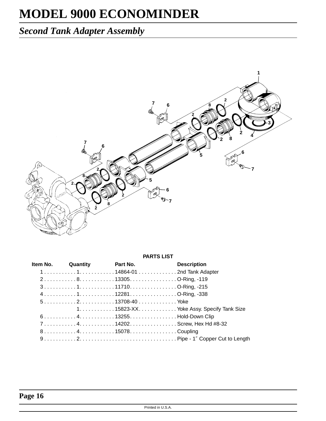## *Second Tank Adapter Assembly*



|                          |                   | <b>PARTS LIST</b>                                                                               |
|--------------------------|-------------------|-------------------------------------------------------------------------------------------------|
| <b>Item No.</b> Quantity | <b>Part No.</b>   | <b>Description</b>                                                                              |
|                          |                   | 1114864-01 2nd Tank Adapter                                                                     |
|                          |                   |                                                                                                 |
|                          |                   |                                                                                                 |
|                          |                   | $4 \ldots \ldots \ldots 1 \ldots \ldots \ldots 12281 \ldots \ldots \ldots \ldots 0$ -Ring, -338 |
|                          | $5$ 213708-40Yoke |                                                                                                 |
|                          |                   | 1. 15823-XX. Yoke Assy. Specify Tank Size                                                       |
|                          |                   |                                                                                                 |
|                          |                   |                                                                                                 |
|                          |                   |                                                                                                 |
|                          |                   |                                                                                                 |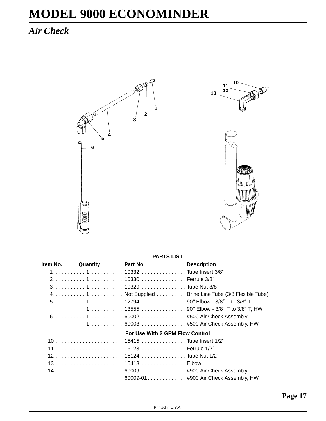## *Air Check*





|                                          |                  | <b>PARTS LIST</b>                          |
|------------------------------------------|------------------|--------------------------------------------|
| <b>Item No.</b> Quantity <b>Part No.</b> |                  | <b>Description</b>                         |
|                                          |                  |                                            |
|                                          |                  |                                            |
|                                          |                  |                                            |
|                                          |                  |                                            |
|                                          |                  |                                            |
|                                          |                  | 1  13555  90° Elbow - 3/8" T to 3/8" T, HW |
|                                          |                  |                                            |
|                                          |                  | 1  60003  #500 Air Check Assembly, HW      |
|                                          |                  | For Use With 2 GPM Flow Control            |
|                                          |                  |                                            |
|                                          |                  | 11  16123  Ferrule 1/2"                    |
|                                          |                  | 12  16124  Tube Nut 1/2"                   |
|                                          | 13  15413  Elbow |                                            |
|                                          |                  |                                            |
|                                          |                  | 60009-01. #900 Air Check Assembly, HW      |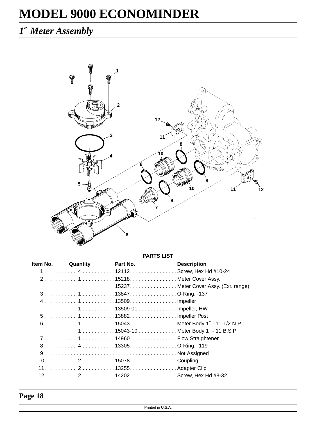## *1*″ *Meter Assembly*



#### **PARTS LIST**

| Item No. | Quantity | Part No. | <b>Description</b>                     |
|----------|----------|----------|----------------------------------------|
|          |          |          |                                        |
|          |          |          | 2 115218 Meter Cover Assy.             |
|          |          |          | 15237. Meter Cover Assy. (Ext. range)  |
|          |          |          |                                        |
|          |          |          |                                        |
|          |          |          | 1 13509-01 Impeller, HW                |
|          |          |          |                                        |
|          |          |          |                                        |
|          |          |          | 1  15043-10  Meter Body 1" - 11 B.S.P. |
|          |          |          |                                        |
|          |          |          |                                        |
|          |          |          |                                        |
|          |          |          |                                        |
|          |          |          |                                        |
|          |          |          |                                        |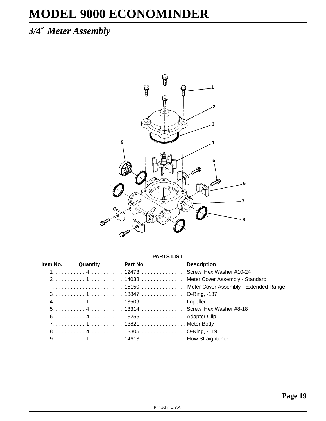## *3/4*″ *Meter Assembly*



#### **PARTS LIST**

|  | Item No. Cuantity Part No. | <b>Description</b>                   |
|--|----------------------------|--------------------------------------|
|  |                            | 1 4  12473  Screw, Hex Washer #10-24 |
|  |                            |                                      |
|  |                            |                                      |
|  |                            |                                      |
|  |                            |                                      |
|  |                            |                                      |
|  |                            |                                      |
|  |                            |                                      |
|  |                            |                                      |
|  |                            |                                      |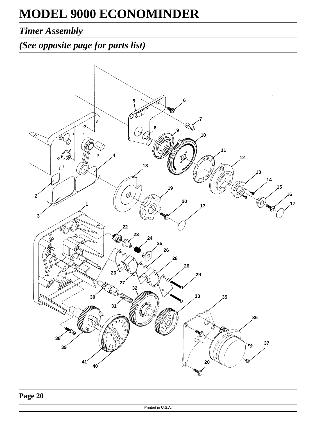## *Timer Assembly*

## *(See opposite page for parts list)*



**Page 20**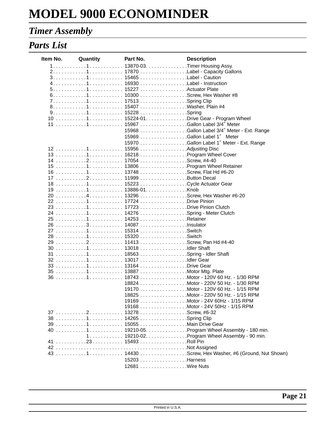## *Timer Assembly*

## *Parts List*

| Item No. | Quantity                                       | Part No.                    | <b>Description</b>                          |
|----------|------------------------------------------------|-----------------------------|---------------------------------------------|
|          |                                                |                             |                                             |
|          |                                                |                             |                                             |
|          |                                                |                             |                                             |
|          |                                                |                             |                                             |
|          |                                                |                             |                                             |
|          |                                                |                             |                                             |
|          |                                                |                             |                                             |
|          | 8. 1.  15407 . Washer, Plain #4                |                             |                                             |
|          |                                                |                             |                                             |
|          | 10 1 15224-01Drive Gear - Program Wheel        |                             |                                             |
|          | 11 1 15967 Gallon Label 3/4" Meter             |                             |                                             |
|          |                                                |                             | 15968 Gallon Label 3/4" Meter - Ext. Range  |
|          |                                                | 15969 Gallon Label 1" Meter |                                             |
|          |                                                |                             | 15970 Gallon Label 1" Meter - Ext. Range    |
|          |                                                |                             |                                             |
|          | 13 1 16218  Program Wheel Cover                |                             |                                             |
|          | 14 2 17054 Screw, #4-40                        |                             |                                             |
|          |                                                |                             |                                             |
|          |                                                |                             |                                             |
|          |                                                |                             |                                             |
|          | 18 1 15223 Cycle Actuator Gear                 |                             |                                             |
|          |                                                |                             |                                             |
|          | 20 4 13296 Screw, Hex Washer #6-20             |                             |                                             |
|          |                                                |                             |                                             |
|          |                                                |                             |                                             |
|          |                                                |                             |                                             |
|          | 25 1 14253 Retainer                            |                             |                                             |
|          |                                                |                             |                                             |
|          | 26 3 14087 Insulator                           |                             |                                             |
|          | 27 1 15314 Switch<br>28 1 15320 Switch         |                             |                                             |
|          |                                                |                             |                                             |
|          | 30 1 13018 Idler Shaft                         |                             |                                             |
|          |                                                |                             |                                             |
|          |                                                |                             |                                             |
|          | 32 1 13017 Idler Gear<br>33 1 13164 Drive Gear |                             |                                             |
|          |                                                |                             |                                             |
|          |                                                |                             |                                             |
|          |                                                |                             |                                             |
|          |                                                |                             | 18824 Motor - 220V 50 Hz. - 1/30 RPM        |
|          |                                                |                             | 19170 Motor - 120V 60 Hz. - 1/15 RPM        |
|          |                                                |                             | 18825 Motor - 220V 50 Hz. - 1/15 RPM        |
|          |                                                |                             | 19169 Motor - 24V 60Hz - 1/15 RPM           |
|          |                                                |                             | 19168 Motor - 24V 50Hz - 1/15 RPM           |
|          | 37 2 13278 Screw, #6-32                        |                             |                                             |
|          | 38 1 14265 Spring Clip                         |                             |                                             |
|          |                                                |                             |                                             |
|          |                                                |                             |                                             |
|          |                                                |                             | 1 19210-02 Program Wheel Assembly - 90 min. |
|          | 41 23 15493 Roll Pin                           |                             |                                             |
|          |                                                |                             |                                             |
|          |                                                |                             |                                             |
|          |                                                | 15203 Harness               |                                             |
|          |                                                | 12681 Wire Nuts             |                                             |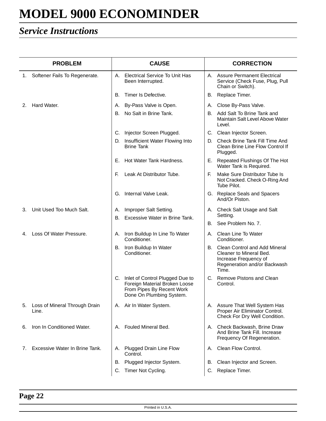## *Service Instructions*

| <b>PROBLEM</b> |                                        |          | <b>CAUSE</b>                                                                                                              | <b>CORRECTION</b> |                                                                                                                            |  |
|----------------|----------------------------------------|----------|---------------------------------------------------------------------------------------------------------------------------|-------------------|----------------------------------------------------------------------------------------------------------------------------|--|
|                | 1. Softener Fails To Regenerate.       | А.       | <b>Electrical Service To Unit Has</b><br>Been Interrupted.                                                                |                   | A. Assure Permanent Electrical<br>Service (Check Fuse, Plug, Pull<br>Chain or Switch).                                     |  |
|                |                                        | В.       | Timer Is Defective.                                                                                                       | В.                | Replace Timer.                                                                                                             |  |
| 2.             | Hard Water.                            | А.       | By-Pass Valve is Open.                                                                                                    | А.                | Close By-Pass Valve.                                                                                                       |  |
|                |                                        | В.       | No Salt in Brine Tank.                                                                                                    | В.                | Add Salt To Brine Tank and<br>Maintain Salt Level Above Water<br>Level.                                                    |  |
|                |                                        | C.       | Injector Screen Plugged.                                                                                                  |                   | C. Clean Injector Screen.                                                                                                  |  |
|                |                                        | D.       | Insufficient Water Flowing Into<br><b>Brine Tank</b>                                                                      | D.                | Check Brine Tank Fill Time And<br>Clean Brine Line Flow Control If<br>Plugged.                                             |  |
|                |                                        | Е.       | Hot Water Tank Hardness.                                                                                                  | Е.                | Repeated Flushings Of The Hot<br>Water Tank is Required.                                                                   |  |
|                |                                        | E.       | Leak At Distributor Tube.                                                                                                 | Е.                | Make Sure Distributor Tube Is<br>Not Cracked. Check O-Ring And<br>Tube Pilot.                                              |  |
|                |                                        |          | G. Internal Valve Leak.                                                                                                   |                   | G. Replace Seals and Spacers<br>And/Or Piston.                                                                             |  |
| 3.             | Unit Used Too Much Salt.               | Α.<br>В. | Improper Salt Setting.<br>Excessive Water in Brine Tank.                                                                  |                   | A. Check Salt Usage and Salt<br>Setting.                                                                                   |  |
|                |                                        |          |                                                                                                                           | В.                | See Problem No. 7.                                                                                                         |  |
| 4.             | Loss Of Water Pressure.                | Α.       | Iron Buildup In Line To Water<br>Conditioner.                                                                             | А.                | Clean Line To Water<br>Conditioner.                                                                                        |  |
|                |                                        | В.       | Iron Buildup In Water<br>Conditioner.                                                                                     | В.                | Clean Control and Add Mineral<br>Cleaner to Mineral Bed.<br>Increase Frequency of<br>Regeneration and/or Backwash<br>Time. |  |
|                |                                        | C.       | Inlet of Control Plugged Due to<br>Foreign Material Broken Loose<br>From Pipes By Recent Work<br>Done On Plumbing System. | C.                | Remove Pistons and Clean<br>Control.                                                                                       |  |
| 5.             | Loss of Mineral Through Drain<br>Line. |          | A. Air In Water System.                                                                                                   |                   | A. Assure That Well System Has<br>Proper Air Eliminator Control.<br>Check For Dry Well Condition.                          |  |
| 6.             | Iron In Conditioned Water.             | А.       | Fouled Mineral Bed.                                                                                                       | А.                | Check Backwash, Brine Draw<br>And Brine Tank Fill. Increase<br>Frequency Of Regeneration.                                  |  |
| 7.             | Excessive Water In Brine Tank.         | Α.       | Plugged Drain Line Flow<br>Control.                                                                                       |                   | A. Clean Flow Control.                                                                                                     |  |
|                |                                        | В.       | Plugged Injector System.                                                                                                  | В.                | Clean Injector and Screen.                                                                                                 |  |
|                |                                        | C.       | Timer Not Cycling.                                                                                                        | C.                | Replace Timer.                                                                                                             |  |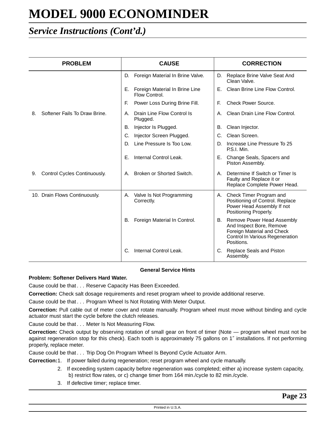## *Service Instructions (Cont'd.)*

| <b>PROBLEM</b>                      | <b>CAUSE</b>                                          | <b>CORRECTION</b>                                                                                                                           |
|-------------------------------------|-------------------------------------------------------|---------------------------------------------------------------------------------------------------------------------------------------------|
|                                     | Foreign Material In Brine Valve.<br>D.                | Replace Brine Valve Seat And<br>D.<br>Clean Valve.                                                                                          |
|                                     | Е.<br>Foreign Material In Brine Line<br>Flow Control. | Clean Brine Line Flow Control.<br>Е.                                                                                                        |
|                                     | F.<br>Power Loss During Brine Fill.                   | E.<br><b>Check Power Source.</b>                                                                                                            |
| Softener Fails To Draw Brine.<br>8. | Drain Line Flow Control Is<br>А.<br>Plugged.          | Clean Drain Line Flow Control.<br>А.                                                                                                        |
|                                     | Injector Is Plugged.<br>В.                            | Clean Injector.<br>В.                                                                                                                       |
|                                     | C.<br>Injector Screen Plugged.                        | Clean Screen.<br>C.                                                                                                                         |
|                                     | Line Pressure Is Too Low.<br>D.                       | Increase Line Pressure To 25<br>D.<br>P.S.I. Min.                                                                                           |
|                                     | Internal Control Leak.<br>Е.                          | Change Seals, Spacers and<br>Е.<br>Piston Assembly.                                                                                         |
| Control Cycles Continuously.<br>9.  | Broken or Shorted Switch.<br>А.                       | Determine If Switch or Timer Is<br>А.<br>Faulty and Replace it or<br>Replace Complete Power Head.                                           |
| 10. Drain Flows Continuously.       | Valve Is Not Programming<br>Α.<br>Correctly.          | A. Check Timer Program and<br>Positioning of Control. Replace<br>Power Head Assembly If not<br>Positioning Properly.                        |
|                                     | Foreign Material In Control.<br>В.                    | Remove Power Head Assembly<br>В.<br>And Inspect Bore, Remove<br>Foreign Material and Check<br>Control In Various Regeneration<br>Positions. |
|                                     | <b>Internal Control Leak.</b><br>C.                   | C.<br><b>Replace Seals and Piston</b><br>Assembly.                                                                                          |

#### **General Service Hints**

#### **Problem: Softener Delivers Hard Water.**

Cause could be that . . . Reserve Capacity Has Been Exceeded.

**Correction:** Check salt dosage requirements and reset program wheel to provide additional reserve.

Cause could be that . . . Program Wheel Is Not Rotating With Meter Output.

**Correction:** Pull cable out of meter cover and rotate manually. Program wheel must move without binding and cycle actuator must start the cycle before the clutch releases.

Cause could be that . . . Meter Is Not Measuring Flow.

**Correction:** Check output by observing rotation of small gear on front of timer (Note — program wheel must not be against regeneration stop for this check). Each tooth is approximately 75 gallons on 1″ installations. If not performing properly, replace meter.

Cause could be that . . . Trip Dog On Program Wheel Is Beyond Cycle Actuator Arm.

**Correction:**1. If power failed during regeneration; reset program wheel and cycle manually.

- 2. If exceeding system capacity before regeneration was completed; either a) increase system capacity, b) restrict flow rates, or c) change timer from 164 min./cycle to 82 min./cycle.
- 3. If defective timer; replace timer.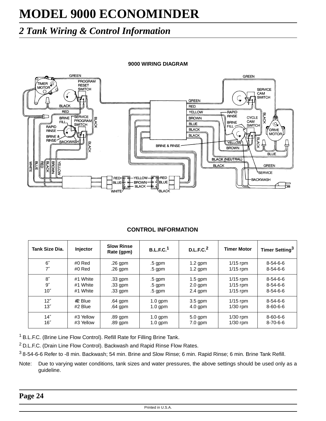## *2 Tank Wiring & Control Information*

#### **GREEN** GREEN . R PROGRAM TIMER<sub>Q</sub> RESET **MOTOR SWITCH SERVICE** CAM<br>SWITCH **GREEN BLACK RED RED YELLOW RAPID** BLACK RINSE SERVICE Ш **BRINE BROWN CYCLE BLACK** PROGRAM **BRINE** CAM **FILL BLUE** Ó, SWITCH **SWITCH** RAPID FILL DRIVE **BLACK** RINSE **BLACK BRINE &** ፵ RINSE-**BACKWASH** YELLOW **BLACK** ት<br>አር **BRINE & RINSE BROWN BLUE** BLACK (NEUTRAL) **BLACK BROWN WHITE** Ë **NELLOW** Ĕ **BLACK GREEN SERVICE** YELLOW-**RFD RFD BACKWASH BROWN-**|∘ ∘ါ]BLUE **BLUE** 局 **BLACK WHITE** BLACK

#### **9000 WIRING DIAGRAM**

#### **CONTROL INFORMATION**

| Tank Size Dia. | <b>Injector</b> | <b>Slow Rinse</b><br>Rate (gpm) | B.L.F.C. <sup>1</sup> | D.L.F.C. <sup>2</sup> | <b>Timer Motor</b> | Timer Setting <sup>3</sup> |
|----------------|-----------------|---------------------------------|-----------------------|-----------------------|--------------------|----------------------------|
| 6''            | #0 Red          | $.26$ gpm                       | $.5$ gpm              | $1.2$ gpm             | $1/15$ rpm         | $8 - 54 - 6 - 6$           |
| 7''            | #0 Red          | .26 gpm                         | $.5$ gpm              | $1.2$ gpm             | $1/15$ rpm         | $8 - 54 - 6 - 6$           |
| 8''            | #1 White        | .33 gpm                         | $.5$ gpm              | $1.5$ gpm             | $1/15$ rpm         | $8 - 54 - 6 - 6$           |
| 9''            | #1 White        | .33 gpm                         | $.5$ gpm              | $2.0$ gpm             | $1/15$ rpm         | $8 - 54 - 6 - 6$           |
| 10''           | #1 White        | $.33$ gpm                       | $.5$ gpm              | $2.4$ gpm             | $1/15$ rpm         | $8 - 54 - 6 - 6$           |
| 12''           | #2 Blue         | $.64$ gpm                       | $1.0$ gpm             | $3.5$ gpm             | $1/15$ rpm         | $8 - 54 - 6 - 6$           |
| 13''           | #2 Blue         | $.64$ gpm                       | $1.0$ gpm             | $4.0$ gpm             | $1/30$ rpm         | $8 - 60 - 6 - 6$           |
| 14''           | #3 Yellow       | .89 gpm                         | $1.0$ gpm             | 5.0 gpm               | $1/30$ rpm         | $8 - 60 - 6 - 6$           |
| 16''           | #3 Yellow       | .89 gpm                         | $1.0$ gpm             | $7.0$ gpm             | $1/30$ rpm         | $8 - 70 - 6 - 6$           |

<sup>1</sup> B.L.F.C. (Brine Line Flow Control). Refill Rate for Filling Brine Tank.

<sup>2</sup> D.L.F.C. (Drain Line Flow Control). Backwash and Rapid Rinse Flow Rates.

3 8-54-6-6 Refer to -8 min. Backwash; 54 min. Brine and Slow Rinse; 6 min. Rapid Rinse; 6 min. Brine Tank Refill.

Note: Due to varying water conditions, tank sizes and water pressures, the above settings should be used only as a guideline.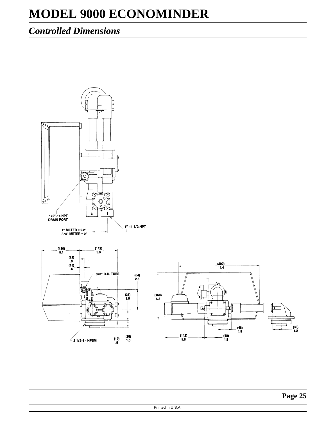## *Controlled Dimensions*

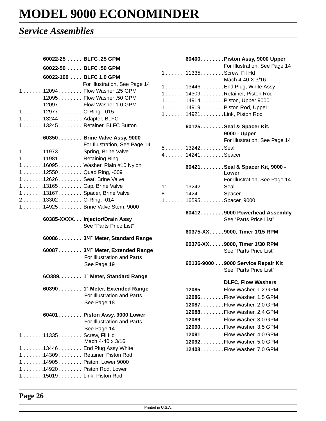### *Service Assemblies*

| 60022-25  BLFC .25 GPM                             |                                  |                     | 60400Piston Assy, 9000 Up                              |
|----------------------------------------------------|----------------------------------|---------------------|--------------------------------------------------------|
| 60022-50  BLFC .50 GPM                             |                                  |                     | For Illustration, See Pa                               |
| 60022-100  BLFC 1.0 GPM                            |                                  | 111335Screw, Fil Hd |                                                        |
|                                                    | For Illustration, See Page 14    |                     | Mach 4-40 X 3/16                                       |
| 1 12094 Flow Washer . 25 GPM                       |                                  |                     | 113446 End Plug, White Assy                            |
|                                                    | 12095 Flow Washer .50 GPM        |                     | 114309Retainer, Piston Rod                             |
|                                                    | 12097 Flow Washer 1.0 GPM        |                     | 114914Piston, Upper 9000                               |
| 1 12977 O-Ring - 015                               |                                  |                     | 114919Piston Rod, Upper                                |
| 1 13244 Adapter, BLFC                              |                                  |                     | 114921Link, Piston Rod                                 |
| 113245 Retainer, BLFC Button                       |                                  |                     | 60125Seal & Spacer Kit,                                |
|                                                    |                                  |                     | 9000 - Upper                                           |
|                                                    | 60350 Brine Valve Assy, 9000     |                     | For Illustration, See Pa                               |
|                                                    | For Illustration, See Page 14    | 513242Seal          |                                                        |
| 1 11973 Spring, Brine Valve                        |                                  | 414241Spacer        |                                                        |
| 111981 Retaining Ring                              |                                  |                     |                                                        |
| 1 16095 Washer, Plain #10 Nylon                    |                                  |                     | 60421Seal & Spacer Kit, 90                             |
| 1 12550 Quad Ring, -009                            |                                  |                     | Lower                                                  |
| 112626 Seat, Brine Valve                           |                                  |                     | For Illustration, See Pa                               |
| 113165 Cap, Brine Valve                            |                                  | 1113242Seal         |                                                        |
| 1 13167 Spacer, Brine Valve<br>213302 O-Ring, -014 |                                  | 814241Spacer        |                                                        |
| 114925 Brine Valve Stem, 9000                      |                                  | 116595Spacer, 9000  |                                                        |
|                                                    |                                  |                     | 604129000 Powerhead Asse                               |
|                                                    | 60385-XXXX. Injector/Drain Assy  |                     | See "Parts Price List"                                 |
|                                                    | See "Parts Price List"           |                     |                                                        |
|                                                    |                                  |                     | 60375-XX9000, Timer 1/15 RPM                           |
|                                                    | 60086 3/4" Meter, Standard Range |                     |                                                        |
|                                                    | 60087 3/4" Meter, Extended Range |                     | 60376-XX9000, Timer 1/30 RPM<br>See "Parts Price List" |
|                                                    | For Illustration and Parts       |                     |                                                        |
|                                                    | See Page 19                      |                     | 60136-9000 9000 Service Repair <b>h</b>                |
|                                                    |                                  |                     | See "Parts Price List"                                 |
|                                                    | 6O389. 1" Meter, Standard Range  |                     |                                                        |
|                                                    |                                  |                     | <b>DLFC, Flow Washers</b>                              |
|                                                    | 60390 1" Meter, Extended Range   |                     | 12085Flow Washer, 1.2 GPM                              |
|                                                    | For Illustration and Parts       |                     | 12086Flow Washer, 1.5 GPM                              |
|                                                    | See Page 18                      |                     | 12087. Flow Washer, 2.0 GPM                            |
|                                                    | 60401 Piston Assy, 9000 Lower    |                     | 12088. Flow Washer, 2.4 GPM                            |
|                                                    | For Illustration and Parts       |                     | 12089Flow Washer, 3.0 GPM                              |
|                                                    | See Page 14                      |                     | 12090Flow Washer, 3.5 GPM                              |
| 111335 Screw, Fil Hd                               |                                  |                     | 12091. Flow Washer, 4.0 GPM                            |
|                                                    | Mach 4-40 x 3/16                 |                     | 12092. Flow Washer, 5.0 GPM                            |
| 113446 End Plug Assy White                         |                                  |                     | 12408. Flow Washer, 7.0 GPM                            |
| 114309 Retainer, Piston Rod                        |                                  |                     |                                                        |
| 114905 Piston, Lower 9000                          |                                  |                     |                                                        |
| 114920 Piston Rod, Lower                           |                                  |                     |                                                        |
| 115019 Link, Piston Rod                            |                                  |                     |                                                        |

#### **60400 . . . . . . . .Piston Assy, 9000 Upper** For Illustration, See Page 14 335. . . . . . . . . Screw, Fil Hd Mach 4-40 X 3/16  $446...$  . . . . . . . End Plug, White Assy 309. . . . . . . . Retainer, Piston Rod 914. . . . . . . . . Piston, Upper 9000  $1919...$ ......Piston Rod, Upper 921 . . . . . . . . Link, Piston Rod **60125 . . . . . . . .Seal & Spacer Kit, 9000 - Upper** For Illustration, See Page 14 242. . . . . . . . Seal 241 . . . . . . . . Spacer **60421 . . . . . . . .Seal & Spacer Kit, 9000 - Lower** For Illustration, See Page 14 242. . . . . . . . . Seal . 241 . . . . . . . . Spacer 595. . . . . . . . . Spacer, 9000 **60412 . . . . . . . .9000 Powerhead Assembly** See "Parts Price List" **60375-XX . . . . .9000, Timer 1/15 RPM 60376-XX . . . . .9000, Timer 1/30 RPM** See "Parts Price List" **60136-9000 . . .9000 Service Repair Kit** See "Parts Price List" **DLFC, Flow Washers 12085** . . . . . . . .Flow Washer, 1.2 GPM **12086** . . . . . . . .Flow Washer, 1.5 GPM **12087** . . . . . . . .Flow Washer, 2.0 GPM **12088** . . . . . . . .Flow Washer, 2.4 GPM **12089** . . . . . . . .Flow Washer, 3.0 GPM **12090** . . . . . . . .Flow Washer, 3.5 GPM **12091** . . . . . . . .Flow Washer, 4.0 GPM